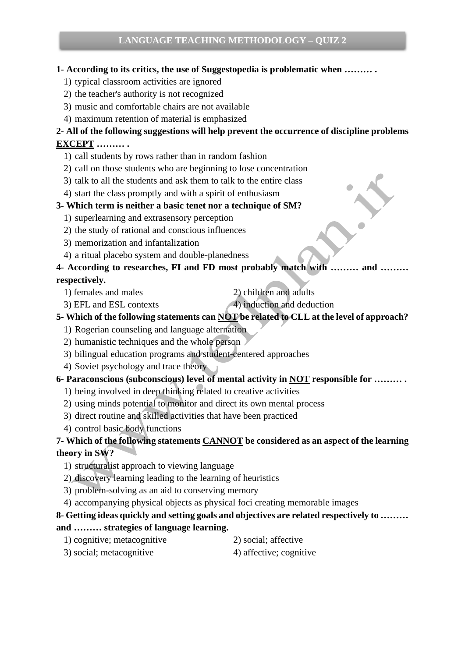### **1- According to its critics, the use of Suggestopedia is problematic when ……… .**

- 1) typical classroom activities are ignored
- 2) the teacher's authority is not recognized
- 3) music and comfortable chairs are not available
- 4) maximum retention of material is emphasized

## **2- All of the following suggestions will help prevent the occurrence of discipline problems EXCEPT ……… .**

- 1) call students by rows rather than in random fashion
- 2) call on those students who are beginning to lose concentration
- 3) talk to all the students and ask them to talk to the entire class
- 4) start the class promptly and with a spirit of enthusiasm

### **3- Which term is neither a basic tenet nor a technique of SM?**

- 1) superlearning and extrasensory perception
- 2) the study of rational and conscious influences
- 3) memorization and infantalization
- 4) a ritual placebo system and double-planedness

**4- According to researches, FI and FD most probably match with ……… and ……… respectively.**

- 
- 1) females and males 2) children and adults
- 
- 3) EFL and ESL contexts 4) induction and deduction
- **5- Which of the following statements can NOT be related to CLL at the level of approach?**
	- 1) Rogerian counseling and language alternation
	- 2) humanistic techniques and the whole person
	- 3) bilingual education programs and student-centered approaches
	- 4) Soviet psychology and trace theory

### **6- Paraconscious (subconscious) level of mental activity in NOT responsible for ……… .**

- 1) being involved in deep thinking related to creative activities
- 2) using minds potential to monitor and direct its own mental process
- 3) direct routine and skilled activities that have been practiced
- 4) control basic body functions

# **7- Which of the following statements CANNOT be considered as an aspect of the learning theory in SW?**

- 1) structuralist approach to viewing language
- 2) discovery learning leading to the learning of heuristics
- 3) problem-solving as an aid to conserving memory
- 4) accompanying physical objects as physical foci creating memorable images

# **8- Getting ideas quickly and setting goals and objectives are related respectively to ………**

### **and ……… strategies of language learning.**

- 1) cognitive; metacognitive 2) social; affective
- 3) social; metacognitive 4) affective; cognitive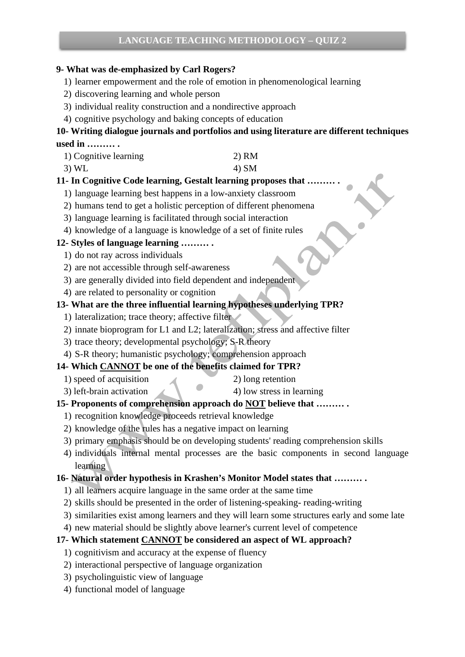# **LANGUAGE TEACHING METHODOLOGY – QUIZ 2**

#### **9- What was de-emphasized by Carl Rogers?**

- 1) learner empowerment and the role of emotion in phenomenological learning
- 2) discovering learning and whole person
- 3) individual reality construction and a nondirective approach
- 4) cognitive psychology and baking concepts of education

### **10- Writing dialogue journals and portfolios and using literature are different techniques used in ……… .**

| 1) Cognitive learning | 2) RM |
|-----------------------|-------|
|-----------------------|-------|

3) WL  $4)$  SM

### **11- In Cognitive Code learning, Gestalt learning proposes that ……… .**

- 1) language learning best happens in a low-anxiety classroom
- 2) humans tend to get a holistic perception of different phenomena
- 3) language learning is facilitated through social interaction
- 4) knowledge of a language is knowledge of a set of finite rules

### **12- Styles of language learning ……… .**

- 1) do not ray across individuals
- 2) are not accessible through self-awareness
- 3) are generally divided into field dependent and independent
- 4) are related to personality or cognition

### **13- What are the three influential learning hypotheses underlying TPR?**

- 1) lateralization; trace theory; affective filter
- 2) innate bioprogram for L1 and L2; lateralization; stress and affective filter
- 3) trace theory; developmental psychology; S-R theory
- 4) S-R theory; humanistic psychology; comprehension approach

### **14- Which CANNOT be one of the benefits claimed for TPR?**

- 1) speed of acquisition 2) long retention
	-
- 3) left-brain activation 4) low stress in learning

### **15- Proponents of comprehension approach do NOT believe that ……… .**

- 1) recognition knowledge proceeds retrieval knowledge
- 2) knowledge of the rules has a negative impact on learning
- 3) primary emphasis should be on developing students' reading comprehension skills
- 4) individuals internal mental processes are the basic components in second language learning

#### **16- Natural order hypothesis in Krashen's Monitor Model states that ……… .**

- 1) all learners acquire language in the same order at the same time
- 2) skills should be presented in the order of listening-speaking- reading-writing
- 3) similarities exist among learners and they will learn some structures early and some late
- 4) new material should be slightly above learner's current level of competence

### **17- Which statement CANNOT be considered an aspect of WL approach?**

- 1) cognitivism and accuracy at the expense of fluency
- 2) interactional perspective of language organization
- 3) psycholinguistic view of language
- 4) functional model of language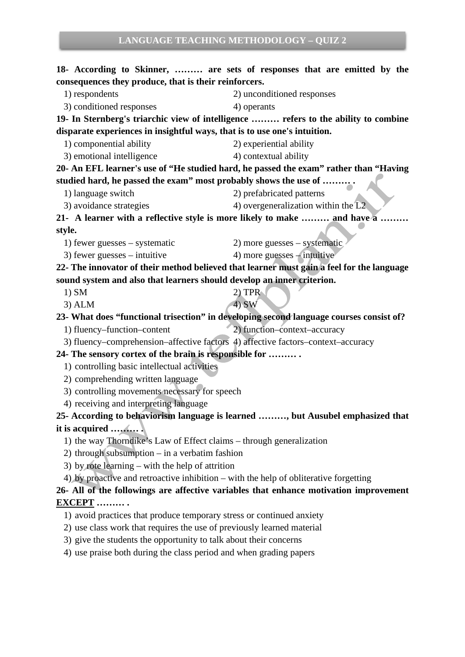**18- According to Skinner, ……… are sets of responses that are emitted by the consequences they produce, that is their reinforcers.** 1) respondents 2) unconditioned responses 3) conditioned responses 4) operants **19- In Sternberg's triarchic view of intelligence ……… refers to the ability to combine disparate experiences in insightful ways, that is to use one's intuition.**  1) componential ability 2) experiential ability 3) emotional intelligence 4) contextual ability **20- An EFL learner's use of "He studied hard, he passed the exam" rather than "Having studied hard, he passed the exam" most probably shows the use of ……… .** 1) language switch 2) prefabricated patterns 3) avoidance strategies 4) overgeneralization within the L2 **21- A learner with a reflective style is more likely to make ……… and have a ……… style.** 1) fewer guesses – systematic 2) more guesses – systematic 3) fewer guesses – intuitive  $\qquad \qquad$  4) more guesses – intuitive **22- The innovator of their method believed that learner must gain a feel for the language sound system and also that learners should develop an inner criterion.** 1) SM  $2)$  TPR  $3)$  ALM  $4)$  SW **23- What does "functional trisection" in developing second language courses consist of?** 1) fluency–function–content 2) function–context–accuracy 3) fluency–comprehension–affective factors 4) affective factors–context–accuracy **24- The sensory cortex of the brain is responsible for ……… .** 1) controlling basic intellectual activities 2) comprehending written language 3) controlling movements necessary for speech 4) receiving and interpreting language **25- According to behaviorism language is learned ………, but Ausubel emphasized that it is acquired ……… .** 1) the way Thorndike's Law of Effect claims – through generalization 2) through subsumption – in a verbatim fashion 3) by rote learning – with the help of attrition 4) by proactive and retroactive inhibition – with the help of obliterative forgetting **26- All of the followings are affective variables that enhance motivation improvement EXCEPT ……… .** 1) avoid practices that produce temporary stress or continued anxiety 2) use class work that requires the use of previously learned material 3) give the students the opportunity to talk about their concerns 4) use praise both during the class period and when grading papers